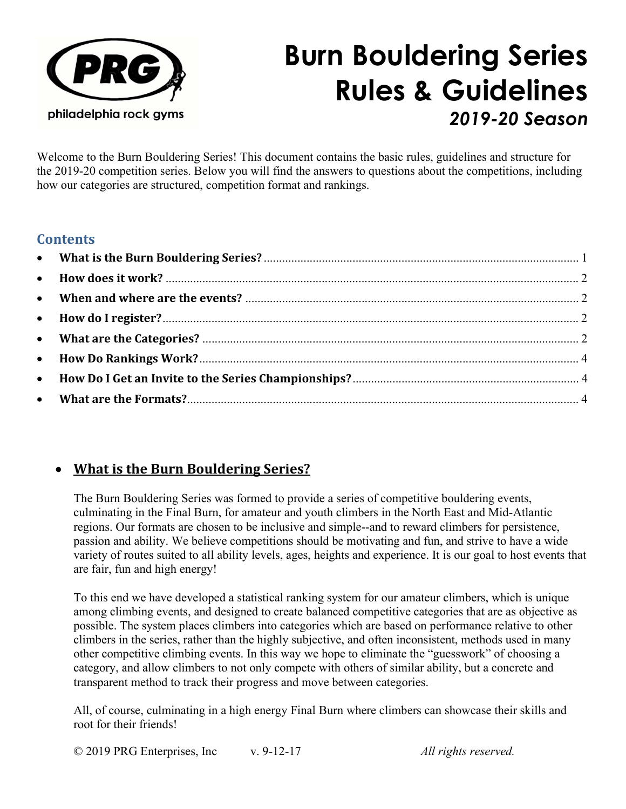

# Burn Bouldering Series Rules & Guidelines 2019-20 Season

Welcome to the Burn Bouldering Series! This document contains the basic rules, guidelines and structure for the 2019-20 competition series. Below you will find the answers to questions about the competitions, including how our categories are structured, competition format and rankings.

## **Contents**

# What is the Burn Bouldering Series?

The Burn Bouldering Series was formed to provide a series of competitive bouldering events, culminating in the Final Burn, for amateur and youth climbers in the North East and Mid-Atlantic regions. Our formats are chosen to be inclusive and simple--and to reward climbers for persistence, passion and ability. We believe competitions should be motivating and fun, and strive to have a wide variety of routes suited to all ability levels, ages, heights and experience. It is our goal to host events that are fair, fun and high energy!

To this end we have developed a statistical ranking system for our amateur climbers, which is unique among climbing events, and designed to create balanced competitive categories that are as objective as possible. The system places climbers into categories which are based on performance relative to other climbers in the series, rather than the highly subjective, and often inconsistent, methods used in many other competitive climbing events. In this way we hope to eliminate the "guesswork" of choosing a category, and allow climbers to not only compete with others of similar ability, but a concrete and transparent method to track their progress and move between categories.

All, of course, culminating in a high energy Final Burn where climbers can showcase their skills and root for their friends!

© 2019 PRG Enterprises, Inc v. 9-12-17 All rights reserved.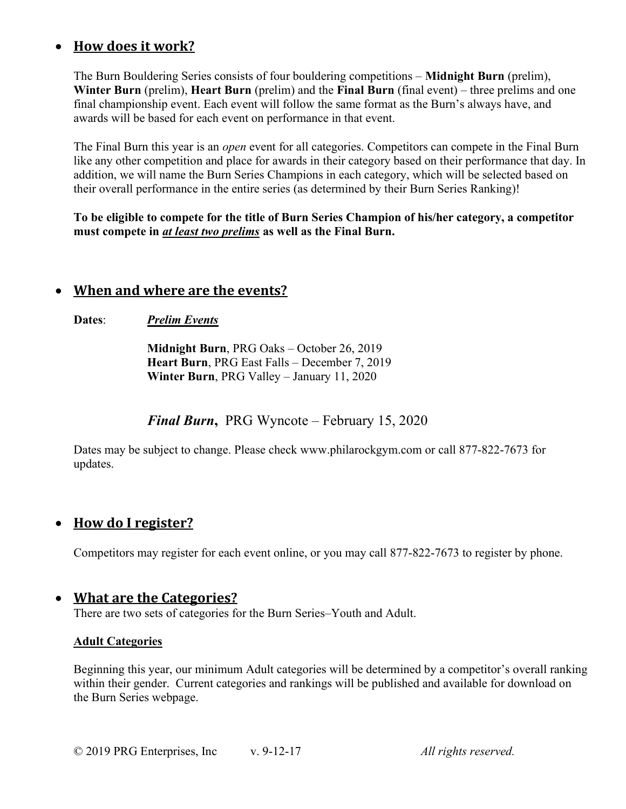## • How does it work?

The Burn Bouldering Series consists of four bouldering competitions – Midnight Burn (prelim), Winter Burn (prelim), Heart Burn (prelim) and the Final Burn (final event) – three prelims and one final championship event. Each event will follow the same format as the Burn's always have, and awards will be based for each event on performance in that event.

The Final Burn this year is an *open* event for all categories. Competitors can compete in the Final Burn like any other competition and place for awards in their category based on their performance that day. In addition, we will name the Burn Series Champions in each category, which will be selected based on their overall performance in the entire series (as determined by their Burn Series Ranking)!

To be eligible to compete for the title of Burn Series Champion of his/her category, a competitor must compete in *at least two prelims* as well as the Final Burn.

## When and where are the events?

Dates: Prelim Events

Midnight Burn, PRG Oaks – October 26, 2019 Heart Burn, PRG East Falls – December 7, 2019 Winter Burn, PRG Valley – January 11, 2020

**Final Burn, PRG Wyncote – February 15, 2020** 

Dates may be subject to change. Please check www.philarockgym.com or call 877-822-7673 for updates.

## How do I register?

Competitors may register for each event online, or you may call 877-822-7673 to register by phone.

### What are the Categories?

There are two sets of categories for the Burn Series–Youth and Adult.

#### Adult Categories

Beginning this year, our minimum Adult categories will be determined by a competitor's overall ranking within their gender. Current categories and rankings will be published and available for download on the Burn Series webpage.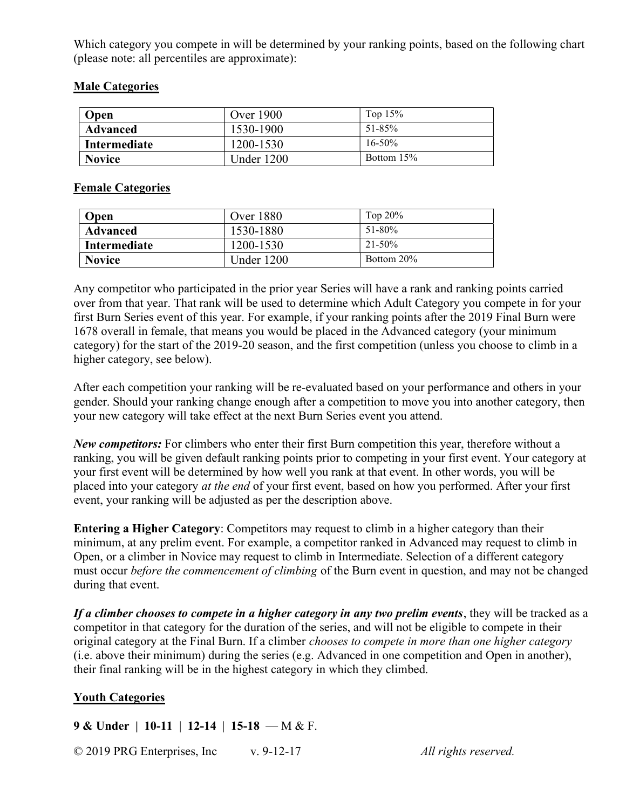Which category you compete in will be determined by your ranking points, based on the following chart (please note: all percentiles are approximate):

#### Male Categories

| Open            | Over 1900  | Top $15%$   |
|-----------------|------------|-------------|
| <b>Advanced</b> | 1530-1900  | 51-85%      |
| Intermediate    | 1200-1530  | $16 - 50\%$ |
| <b>Novice</b>   | Under 1200 | Bottom 15%  |

#### Female Categories

| Open            | Over 1880  | Top $20\%$  |
|-----------------|------------|-------------|
| <b>Advanced</b> | 1530-1880  | $51-80\%$   |
| Intermediate    | 1200-1530  | $21 - 50\%$ |
| <b>Novice</b>   | Under 1200 | Bottom 20%  |

Any competitor who participated in the prior year Series will have a rank and ranking points carried over from that year. That rank will be used to determine which Adult Category you compete in for your first Burn Series event of this year. For example, if your ranking points after the 2019 Final Burn were 1678 overall in female, that means you would be placed in the Advanced category (your minimum category) for the start of the 2019-20 season, and the first competition (unless you choose to climb in a higher category, see below).

After each competition your ranking will be re-evaluated based on your performance and others in your gender. Should your ranking change enough after a competition to move you into another category, then your new category will take effect at the next Burn Series event you attend.

New competitors: For climbers who enter their first Burn competition this year, therefore without a ranking, you will be given default ranking points prior to competing in your first event. Your category at your first event will be determined by how well you rank at that event. In other words, you will be placed into your category at the end of your first event, based on how you performed. After your first event, your ranking will be adjusted as per the description above.

Entering a Higher Category: Competitors may request to climb in a higher category than their minimum, at any prelim event. For example, a competitor ranked in Advanced may request to climb in Open, or a climber in Novice may request to climb in Intermediate. Selection of a different category must occur *before the commencement of climbing* of the Burn event in question, and may not be changed during that event.

If a climber chooses to compete in a higher category in any two prelim events, they will be tracked as a competitor in that category for the duration of the series, and will not be eligible to compete in their original category at the Final Burn. If a climber chooses to compete in more than one higher category (i.e. above their minimum) during the series (e.g. Advanced in one competition and Open in another), their final ranking will be in the highest category in which they climbed.

#### Youth Categories

9 & Under | 10-11 | 12-14 | 15-18 — M & F.

© 2019 PRG Enterprises, Inc v. 9-12-17 All rights reserved.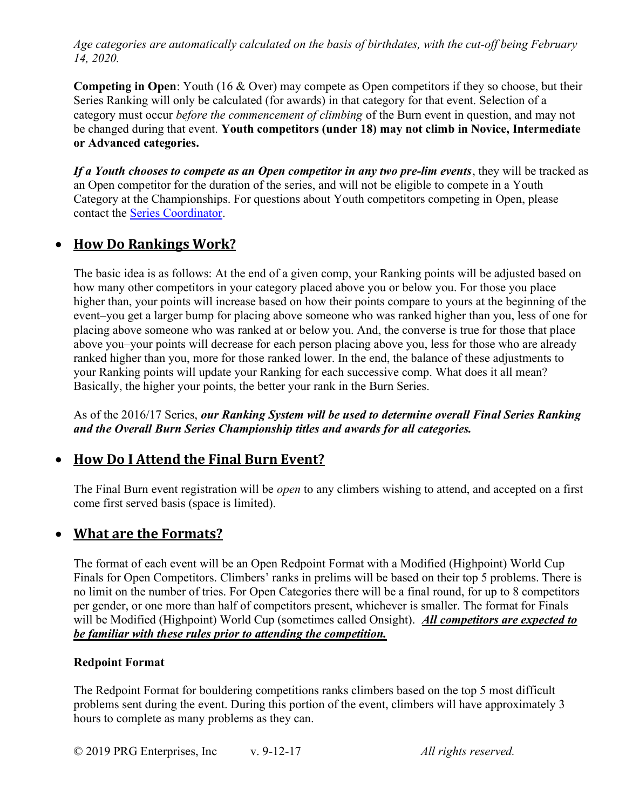Age categories are automatically calculated on the basis of birthdates, with the cut-off being February 14, 2020.

Competing in Open: Youth (16 & Over) may compete as Open competitors if they so choose, but their Series Ranking will only be calculated (for awards) in that category for that event. Selection of a category must occur before the commencement of climbing of the Burn event in question, and may not be changed during that event. Youth competitors (under 18) may not climb in Novice, Intermediate or Advanced categories.

If a Youth chooses to compete as an Open competitor in any two pre-lim events, they will be tracked as an Open competitor for the duration of the series, and will not be eligible to compete in a Youth Category at the Championships. For questions about Youth competitors competing in Open, please contact the Series Coordinator.

## How Do Rankings Work?

The basic idea is as follows: At the end of a given comp, your Ranking points will be adjusted based on how many other competitors in your category placed above you or below you. For those you place higher than, your points will increase based on how their points compare to yours at the beginning of the event–you get a larger bump for placing above someone who was ranked higher than you, less of one for placing above someone who was ranked at or below you. And, the converse is true for those that place above you–your points will decrease for each person placing above you, less for those who are already ranked higher than you, more for those ranked lower. In the end, the balance of these adjustments to your Ranking points will update your Ranking for each successive comp. What does it all mean? Basically, the higher your points, the better your rank in the Burn Series.

As of the 2016/17 Series, our Ranking System will be used to determine overall Final Series Ranking and the Overall Burn Series Championship titles and awards for all categories.

## How Do I Attend the Final Burn Event?

The Final Burn event registration will be *open* to any climbers wishing to attend, and accepted on a first come first served basis (space is limited).

## What are the Formats?

The format of each event will be an Open Redpoint Format with a Modified (Highpoint) World Cup Finals for Open Competitors. Climbers' ranks in prelims will be based on their top 5 problems. There is no limit on the number of tries. For Open Categories there will be a final round, for up to 8 competitors per gender, or one more than half of competitors present, whichever is smaller. The format for Finals will be Modified (Highpoint) World Cup (sometimes called Onsight). All competitors are expected to be familiar with these rules prior to attending the competition.

#### Redpoint Format

The Redpoint Format for bouldering competitions ranks climbers based on the top 5 most difficult problems sent during the event. During this portion of the event, climbers will have approximately 3 hours to complete as many problems as they can.

© 2019 PRG Enterprises, Inc v. 9-12-17 All rights reserved.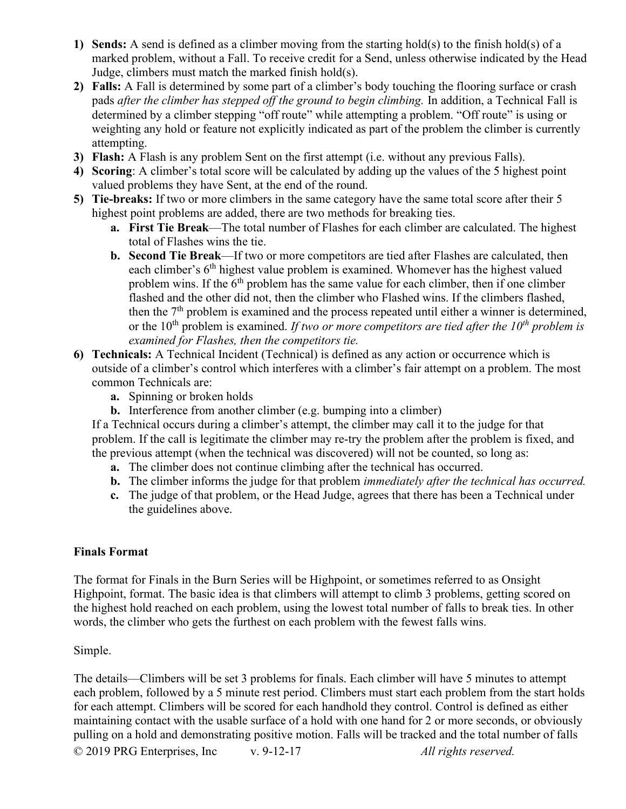- 1) Sends: A send is defined as a climber moving from the starting hold(s) to the finish hold(s) of a marked problem, without a Fall. To receive credit for a Send, unless otherwise indicated by the Head Judge, climbers must match the marked finish hold(s).
- 2) Falls: A Fall is determined by some part of a climber's body touching the flooring surface or crash pads after the climber has stepped off the ground to begin climbing. In addition, a Technical Fall is determined by a climber stepping "off route" while attempting a problem. "Off route" is using or weighting any hold or feature not explicitly indicated as part of the problem the climber is currently attempting.
- 3) Flash: A Flash is any problem Sent on the first attempt (i.e. without any previous Falls).
- 4) Scoring: A climber's total score will be calculated by adding up the values of the 5 highest point valued problems they have Sent, at the end of the round.
- 5) Tie-breaks: If two or more climbers in the same category have the same total score after their 5 highest point problems are added, there are two methods for breaking ties.
	- a. First Tie Break—The total number of Flashes for each climber are calculated. The highest total of Flashes wins the tie.
	- b. Second Tie Break—If two or more competitors are tied after Flashes are calculated, then each climber's  $6<sup>th</sup>$  highest value problem is examined. Whomever has the highest valued problem wins. If the  $6<sup>th</sup>$  problem has the same value for each climber, then if one climber flashed and the other did not, then the climber who Flashed wins. If the climbers flashed, then the  $7<sup>th</sup>$  problem is examined and the process repeated until either a winner is determined, or the 10<sup>th</sup> problem is examined. If two or more competitors are tied after the 10<sup>th</sup> problem is examined for Flashes, then the competitors tie.
- 6) Technicals: A Technical Incident (Technical) is defined as any action or occurrence which is outside of a climber's control which interferes with a climber's fair attempt on a problem. The most common Technicals are:
	- a. Spinning or broken holds
	- **b.** Interference from another climber (e.g. bumping into a climber)

If a Technical occurs during a climber's attempt, the climber may call it to the judge for that problem. If the call is legitimate the climber may re-try the problem after the problem is fixed, and the previous attempt (when the technical was discovered) will not be counted, so long as:

- a. The climber does not continue climbing after the technical has occurred.
- **b.** The climber informs the judge for that problem *immediately after the technical has occurred*.
- c. The judge of that problem, or the Head Judge, agrees that there has been a Technical under the guidelines above.

#### Finals Format

The format for Finals in the Burn Series will be Highpoint, or sometimes referred to as Onsight Highpoint, format. The basic idea is that climbers will attempt to climb 3 problems, getting scored on the highest hold reached on each problem, using the lowest total number of falls to break ties. In other words, the climber who gets the furthest on each problem with the fewest falls wins.

#### Simple.

© 2019 PRG Enterprises, Inc v. 9-12-17 All rights reserved. The details—Climbers will be set 3 problems for finals. Each climber will have 5 minutes to attempt each problem, followed by a 5 minute rest period. Climbers must start each problem from the start holds for each attempt. Climbers will be scored for each handhold they control. Control is defined as either maintaining contact with the usable surface of a hold with one hand for 2 or more seconds, or obviously pulling on a hold and demonstrating positive motion. Falls will be tracked and the total number of falls